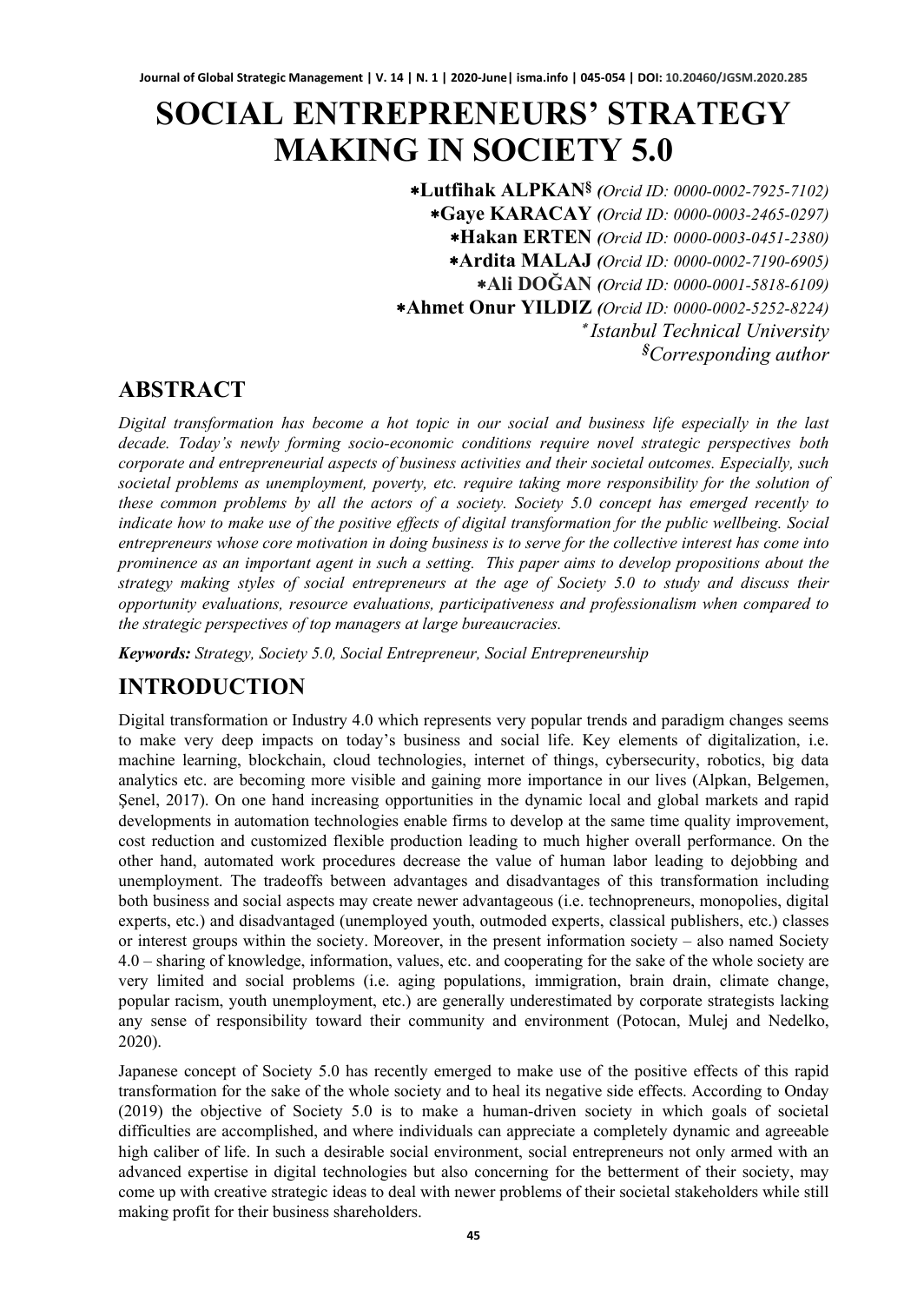# **SOCIAL ENTREPRENEURS' STRATEGY MAKING IN SOCIETY 5.0**

∗**Lutfihak ALPKAN§** *(Orcid ID: 0000-0002-7925-7102)* ∗**Gaye KARACAY** *(Orcid ID: 0000-0003-2465-0297)* ∗**Hakan ERTEN** *(Orcid ID: 0000-0003-0451-2380)* ∗**Ardita MALAJ** *(Orcid ID: 0000-0002-7190-6905)* ∗**Ali DOĞAN** *(Orcid ID: 0000-0001-5818-6109)* ∗**Ahmet Onur YILDIZ** *(Orcid ID: 0000-0002-5252-8224)* ∗ *Istanbul Technical University § Corresponding author*

### **ABSTRACT**

*Digital transformation has become a hot topic in our social and business life especially in the last decade. Today's newly forming socio-economic conditions require novel strategic perspectives both corporate and entrepreneurial aspects of business activities and their societal outcomes. Especially, such societal problems as unemployment, poverty, etc. require taking more responsibility for the solution of these common problems by all the actors of a society. Society 5.0 concept has emerged recently to indicate how to make use of the positive effects of digital transformation for the public wellbeing. Social entrepreneurs whose core motivation in doing business is to serve for the collective interest has come into prominence as an important agent in such a setting. This paper aims to develop propositions about the strategy making styles of social entrepreneurs at the age of Society 5.0 to study and discuss their opportunity evaluations, resource evaluations, participativeness and professionalism when compared to the strategic perspectives of top managers at large bureaucracies.*

*Keywords: Strategy, Society 5.0, Social Entrepreneur, Social Entrepreneurship*

## **INTRODUCTION**

Digital transformation or Industry 4.0 which represents very popular trends and paradigm changes seems to make very deep impacts on today's business and social life. Key elements of digitalization, i.e. machine learning, blockchain, cloud technologies, internet of things, cybersecurity, robotics, big data analytics etc. are becoming more visible and gaining more importance in our lives (Alpkan, Belgemen, Şenel, 2017). On one hand increasing opportunities in the dynamic local and global markets and rapid developments in automation technologies enable firms to develop at the same time quality improvement, cost reduction and customized flexible production leading to much higher overall performance. On the other hand, automated work procedures decrease the value of human labor leading to dejobbing and unemployment. The tradeoffs between advantages and disadvantages of this transformation including both business and social aspects may create newer advantageous (i.e. technopreneurs, monopolies, digital experts, etc.) and disadvantaged (unemployed youth, outmoded experts, classical publishers, etc.) classes or interest groups within the society. Moreover, in the present information society – also named Society 4.0 – sharing of knowledge, information, values, etc. and cooperating for the sake of the whole society are very limited and social problems (i.e. aging populations, immigration, brain drain, climate change, popular racism, youth unemployment, etc.) are generally underestimated by corporate strategists lacking any sense of responsibility toward their community and environment (Potocan, Mulej and Nedelko, 2020).

Japanese concept of Society 5.0 has recently emerged to make use of the positive effects of this rapid transformation for the sake of the whole society and to heal its negative side effects. According to Onday (2019) the objective of Society 5.0 is to make a human-driven society in which goals of societal difficulties are accomplished, and where individuals can appreciate a completely dynamic and agreeable high caliber of life. In such a desirable social environment, social entrepreneurs not only armed with an advanced expertise in digital technologies but also concerning for the betterment of their society, may come up with creative strategic ideas to deal with newer problems of their societal stakeholders while still making profit for their business shareholders.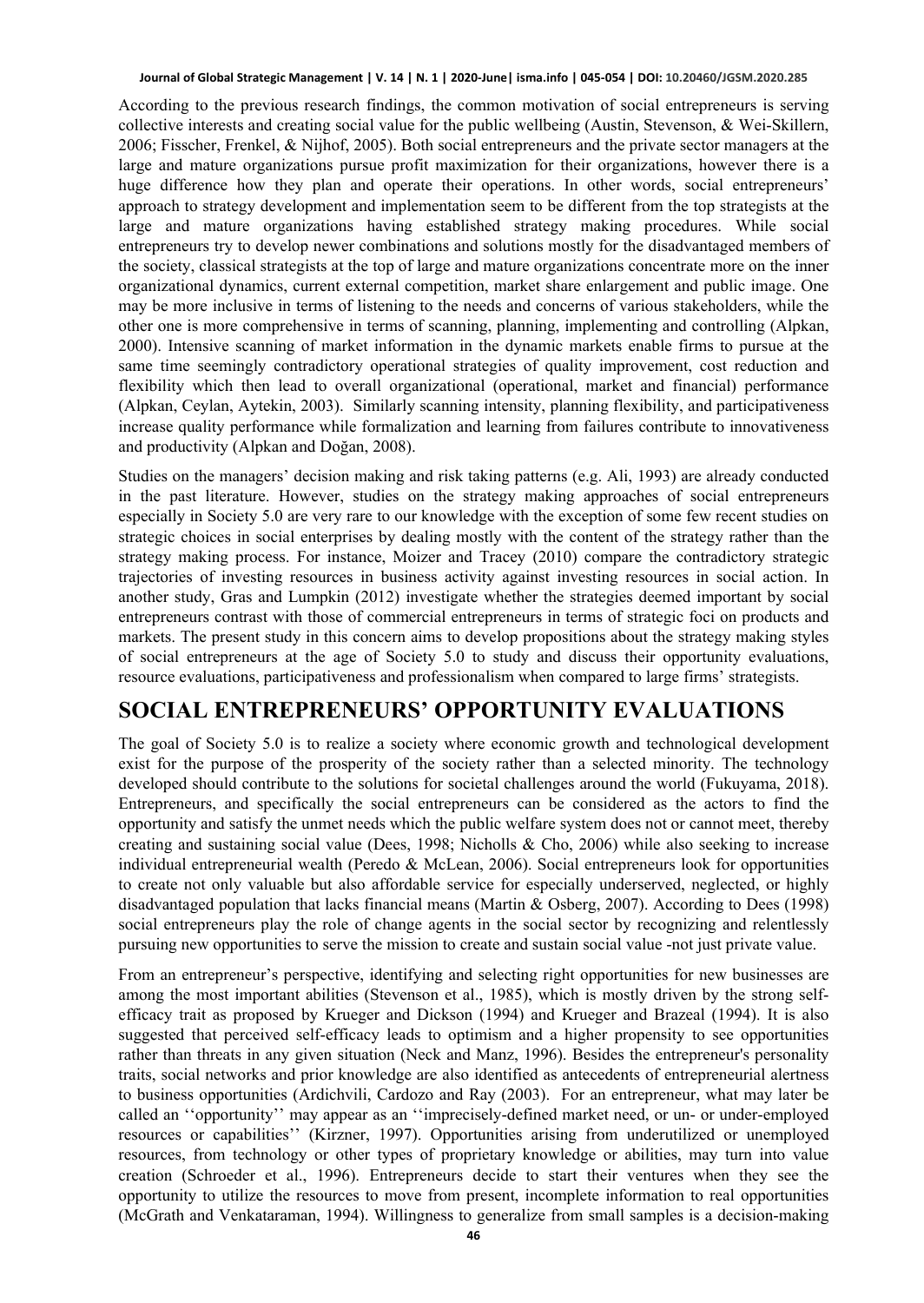According to the previous research findings, the common motivation of social entrepreneurs is serving collective interests and creating social value for the public wellbeing (Austin, Stevenson, & Wei‐Skillern, 2006; Fisscher, Frenkel, & Nijhof, 2005). Both social entrepreneurs and the private sector managers at the large and mature organizations pursue profit maximization for their organizations, however there is a huge difference how they plan and operate their operations. In other words, social entrepreneurs' approach to strategy development and implementation seem to be different from the top strategists at the large and mature organizations having established strategy making procedures. While social entrepreneurs try to develop newer combinations and solutions mostly for the disadvantaged members of the society, classical strategists at the top of large and mature organizations concentrate more on the inner organizational dynamics, current external competition, market share enlargement and public image. One may be more inclusive in terms of listening to the needs and concerns of various stakeholders, while the other one is more comprehensive in terms of scanning, planning, implementing and controlling (Alpkan, 2000). Intensive scanning of market information in the dynamic markets enable firms to pursue at the same time seemingly contradictory operational strategies of quality improvement, cost reduction and flexibility which then lead to overall organizational (operational, market and financial) performance (Alpkan, Ceylan, Aytekin, 2003). Similarly scanning intensity, planning flexibility, and participativeness increase quality performance while formalization and learning from failures contribute to innovativeness and productivity (Alpkan and Doğan, 2008).

Studies on the managers' decision making and risk taking patterns (e.g. Ali, 1993) are already conducted in the past literature. However, studies on the strategy making approaches of social entrepreneurs especially in Society 5.0 are very rare to our knowledge with the exception of some few recent studies on strategic choices in social enterprises by dealing mostly with the content of the strategy rather than the strategy making process. For instance, Moizer and Tracey (2010) compare the contradictory strategic trajectories of investing resources in business activity against investing resources in social action. In another study, Gras and Lumpkin (2012) investigate whether the strategies deemed important by social entrepreneurs contrast with those of commercial entrepreneurs in terms of strategic foci on products and markets. The present study in this concern aims to develop propositions about the strategy making styles of social entrepreneurs at the age of Society 5.0 to study and discuss their opportunity evaluations, resource evaluations, participativeness and professionalism when compared to large firms' strategists.

### **SOCIAL ENTREPRENEURS' OPPORTUNITY EVALUATIONS**

The goal of Society 5.0 is to realize a society where economic growth and technological development exist for the purpose of the prosperity of the society rather than a selected minority. The technology developed should contribute to the solutions for societal challenges around the world (Fukuyama, 2018). Entrepreneurs, and specifically the social entrepreneurs can be considered as the actors to find the opportunity and satisfy the unmet needs which the public welfare system does not or cannot meet, thereby creating and sustaining social value (Dees, 1998; Nicholls & Cho, 2006) while also seeking to increase individual entrepreneurial wealth (Peredo & McLean, 2006). Social entrepreneurs look for opportunities to create not only valuable but also affordable service for especially underserved, neglected, or highly disadvantaged population that lacks financial means (Martin & Osberg, 2007). According to Dees (1998) social entrepreneurs play the role of change agents in the social sector by recognizing and relentlessly pursuing new opportunities to serve the mission to create and sustain social value -not just private value.

From an entrepreneur's perspective, identifying and selecting right opportunities for new businesses are among the most important abilities (Stevenson et al., 1985), which is mostly driven by the strong selfefficacy trait as proposed by Krueger and Dickson (1994) and Krueger and Brazeal (1994). It is also suggested that perceived self-efficacy leads to optimism and a higher propensity to see opportunities rather than threats in any given situation (Neck and Manz, 1996). Besides the entrepreneur's personality traits, social networks and prior knowledge are also identified as antecedents of entrepreneurial alertness to business opportunities (Ardichvili, Cardozo and Ray (2003). For an entrepreneur, what may later be called an ''opportunity'' may appear as an ''imprecisely-defined market need, or un- or under-employed resources or capabilities'' (Kirzner, 1997). Opportunities arising from underutilized or unemployed resources, from technology or other types of proprietary knowledge or abilities, may turn into value creation (Schroeder et al., 1996). Entrepreneurs decide to start their ventures when they see the opportunity to utilize the resources to move from present, incomplete information to real opportunities (McGrath and Venkataraman, 1994). Willingness to generalize from small samples is a decision-making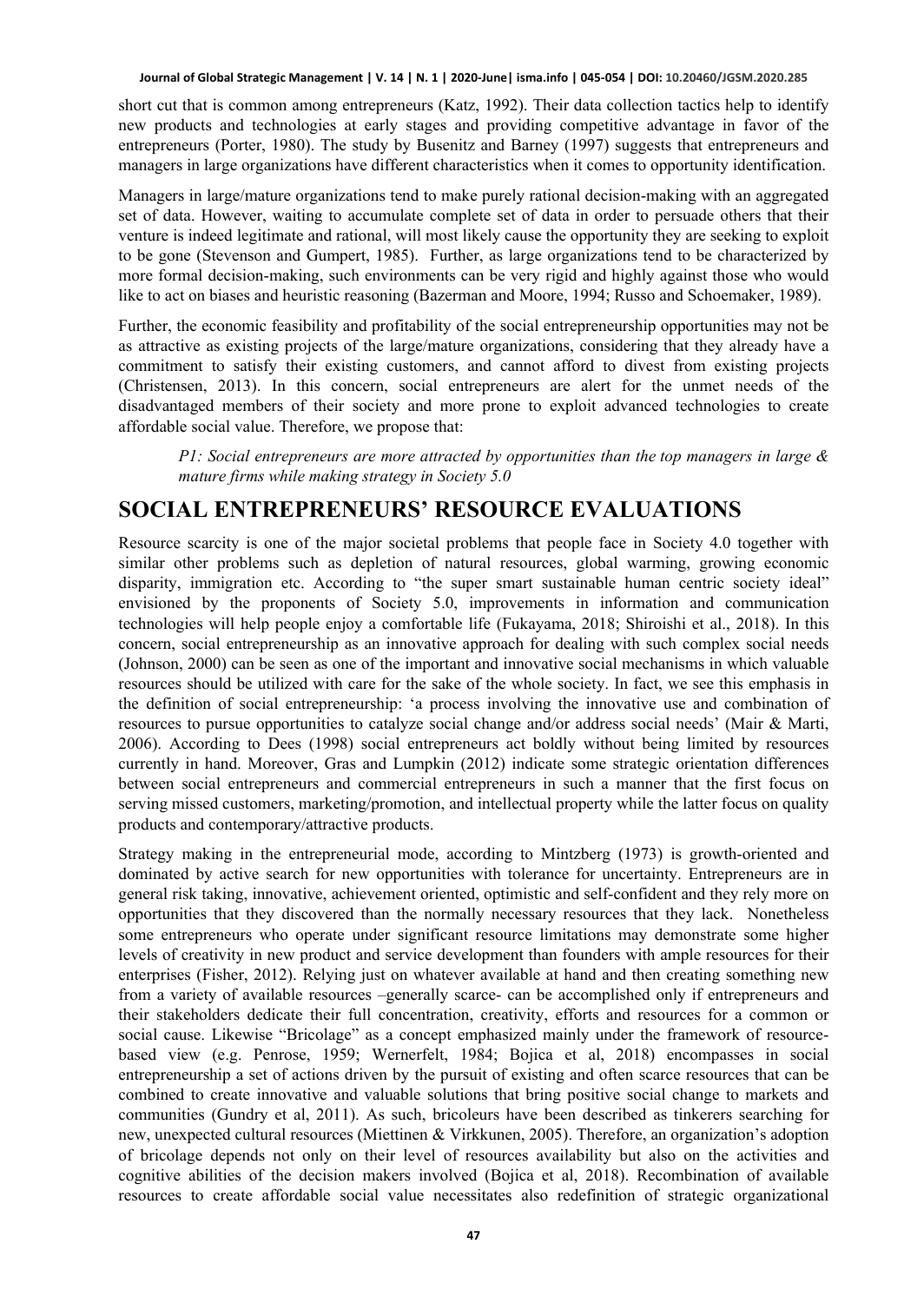short cut that is common among entrepreneurs (Katz, 1992). Their data collection tactics help to identify new products and technologies at early stages and providing competitive advantage in favor of the entrepreneurs (Porter, 1980). The study by Busenitz and Barney (1997) suggests that entrepreneurs and managers in large organizations have different characteristics when it comes to opportunity identification.

Managers in large/mature organizations tend to make purely rational decision-making with an aggregated set of data. However, waiting to accumulate complete set of data in order to persuade others that their venture is indeed legitimate and rational, will most likely cause the opportunity they are seeking to exploit to be gone (Stevenson and Gumpert, 1985). Further, as large organizations tend to be characterized by more formal decision-making, such environments can be very rigid and highly against those who would like to act on biases and heuristic reasoning (Bazerman and Moore, 1994; Russo and Schoemaker, 1989).

Further, the economic feasibility and profitability of the social entrepreneurship opportunities may not be as attractive as existing projects of the large/mature organizations, considering that they already have a commitment to satisfy their existing customers, and cannot afford to divest from existing projects (Christensen, 2013). In this concern, social entrepreneurs are alert for the unmet needs of the disadvantaged members of their society and more prone to exploit advanced technologies to create affordable social value. Therefore, we propose that:

*P1: Social entrepreneurs are more attracted by opportunities than the top managers in large & mature firms while making strategy in Society 5.0*

### **SOCIAL ENTREPRENEURS' RESOURCE EVALUATIONS**

Resource scarcity is one of the major societal problems that people face in Society 4.0 together with similar other problems such as depletion of natural resources, global warming, growing economic disparity, immigration etc. According to "the super smart sustainable human centric society ideal" envisioned by the proponents of Society 5.0, improvements in information and communication technologies will help people enjoy a comfortable life (Fukayama, 2018; Shiroishi et al., 2018). In this concern, social entrepreneurship as an innovative approach for dealing with such complex social needs (Johnson, 2000) can be seen as one of the important and innovative social mechanisms in which valuable resources should be utilized with care for the sake of the whole society. In fact, we see this emphasis in the definition of social entrepreneurship: 'a process involving the innovative use and combination of resources to pursue opportunities to catalyze social change and/or address social needs' (Mair & Marti, 2006). According to Dees (1998) social entrepreneurs act boldly without being limited by resources currently in hand. Moreover, Gras and Lumpkin (2012) indicate some strategic orientation differences between social entrepreneurs and commercial entrepreneurs in such a manner that the first focus on serving missed customers, marketing/promotion, and intellectual property while the latter focus on quality products and contemporary/attractive products.

Strategy making in the entrepreneurial mode, according to Mintzberg (1973) is growth-oriented and dominated by active search for new opportunities with tolerance for uncertainty. Entrepreneurs are in general risk taking, innovative, achievement oriented, optimistic and self-confident and they rely more on opportunities that they discovered than the normally necessary resources that they lack. Nonetheless some entrepreneurs who operate under significant resource limitations may demonstrate some higher levels of creativity in new product and service development than founders with ample resources for their enterprises (Fisher, 2012). Relying just on whatever available at hand and then creating something new from a variety of available resources –generally scarce- can be accomplished only if entrepreneurs and their stakeholders dedicate their full concentration, creativity, efforts and resources for a common or social cause. Likewise "Bricolage" as a concept emphasized mainly under the framework of resourcebased view (e.g. Penrose, 1959; Wernerfelt, 1984; Bojica et al, 2018) encompasses in social entrepreneurship a set of actions driven by the pursuit of existing and often scarce resources that can be combined to create innovative and valuable solutions that bring positive social change to markets and communities (Gundry et al, 2011). As such, bricoleurs have been described as tinkerers searching for new, unexpected cultural resources (Miettinen & Virkkunen, 2005). Therefore, an organization's adoption of bricolage depends not only on their level of resources availability but also on the activities and cognitive abilities of the decision makers involved (Bojica et al, 2018). Recombination of available resources to create affordable social value necessitates also redefinition of strategic organizational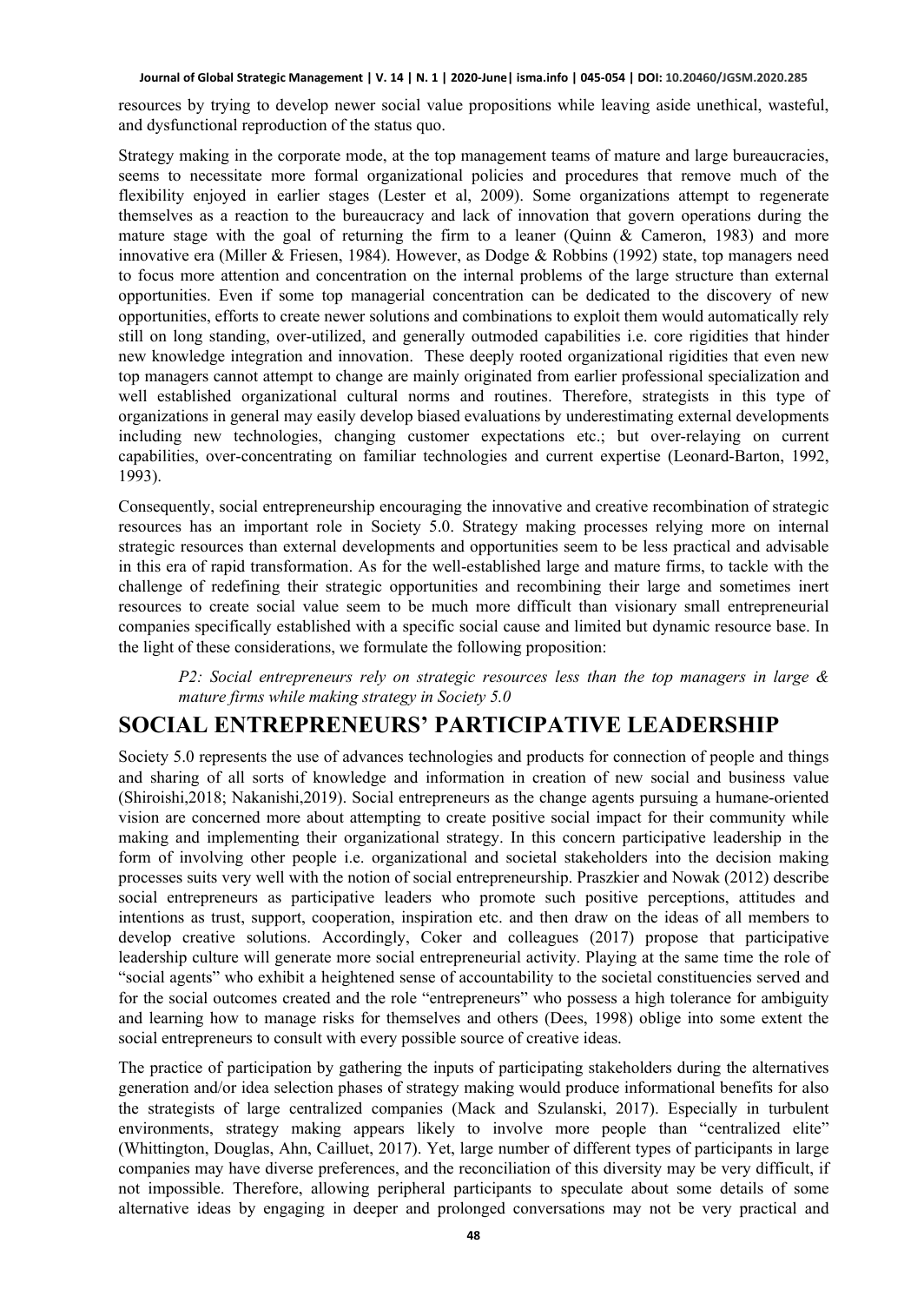resources by trying to develop newer social value propositions while leaving aside unethical, wasteful, and dysfunctional reproduction of the status quo.

Strategy making in the corporate mode, at the top management teams of mature and large bureaucracies, seems to necessitate more formal organizational policies and procedures that remove much of the flexibility enjoyed in earlier stages (Lester et al, 2009). Some organizations attempt to regenerate themselves as a reaction to the bureaucracy and lack of innovation that govern operations during the mature stage with the goal of returning the firm to a leaner (Quinn & Cameron, 1983) and more innovative era (Miller & Friesen, 1984). However, as Dodge & Robbins (1992) state, top managers need to focus more attention and concentration on the internal problems of the large structure than external opportunities. Even if some top managerial concentration can be dedicated to the discovery of new opportunities, efforts to create newer solutions and combinations to exploit them would automatically rely still on long standing, over-utilized, and generally outmoded capabilities i.e. core rigidities that hinder new knowledge integration and innovation. These deeply rooted organizational rigidities that even new top managers cannot attempt to change are mainly originated from earlier professional specialization and well established organizational cultural norms and routines. Therefore, strategists in this type of organizations in general may easily develop biased evaluations by underestimating external developments including new technologies, changing customer expectations etc.; but over-relaying on current capabilities, over-concentrating on familiar technologies and current expertise (Leonard-Barton, 1992, 1993).

Consequently, social entrepreneurship encouraging the innovative and creative recombination of strategic resources has an important role in Society 5.0. Strategy making processes relying more on internal strategic resources than external developments and opportunities seem to be less practical and advisable in this era of rapid transformation. As for the well-established large and mature firms, to tackle with the challenge of redefining their strategic opportunities and recombining their large and sometimes inert resources to create social value seem to be much more difficult than visionary small entrepreneurial companies specifically established with a specific social cause and limited but dynamic resource base. In the light of these considerations, we formulate the following proposition:

*P2: Social entrepreneurs rely on strategic resources less than the top managers in large & mature firms while making strategy in Society 5.0*

### **SOCIAL ENTREPRENEURS' PARTICIPATIVE LEADERSHIP**

Society 5.0 represents the use of advances technologies and products for connection of people and things and sharing of all sorts of knowledge and information in creation of new social and business value (Shiroishi,2018; Nakanishi,2019). Social entrepreneurs as the change agents pursuing a humane-oriented vision are concerned more about attempting to create positive social impact for their community while making and implementing their organizational strategy. In this concern participative leadership in the form of involving other people i.e. organizational and societal stakeholders into the decision making processes suits very well with the notion of social entrepreneurship. Praszkier and Nowak (2012) describe social entrepreneurs as participative leaders who promote such positive perceptions, attitudes and intentions as trust, support, cooperation, inspiration etc. and then draw on the ideas of all members to develop creative solutions. Accordingly, Coker and colleagues (2017) propose that participative leadership culture will generate more social entrepreneurial activity. Playing at the same time the role of "social agents" who exhibit a heightened sense of accountability to the societal constituencies served and for the social outcomes created and the role "entrepreneurs" who possess a high tolerance for ambiguity and learning how to manage risks for themselves and others (Dees, 1998) oblige into some extent the social entrepreneurs to consult with every possible source of creative ideas.

The practice of participation by gathering the inputs of participating stakeholders during the alternatives generation and/or idea selection phases of strategy making would produce informational benefits for also the strategists of large centralized companies (Mack and Szulanski, 2017). Especially in turbulent environments, strategy making appears likely to involve more people than "centralized elite" (Whittington, Douglas, Ahn, Cailluet, 2017). Yet, large number of different types of participants in large companies may have diverse preferences, and the reconciliation of this diversity may be very difficult, if not impossible. Therefore, allowing peripheral participants to speculate about some details of some alternative ideas by engaging in deeper and prolonged conversations may not be very practical and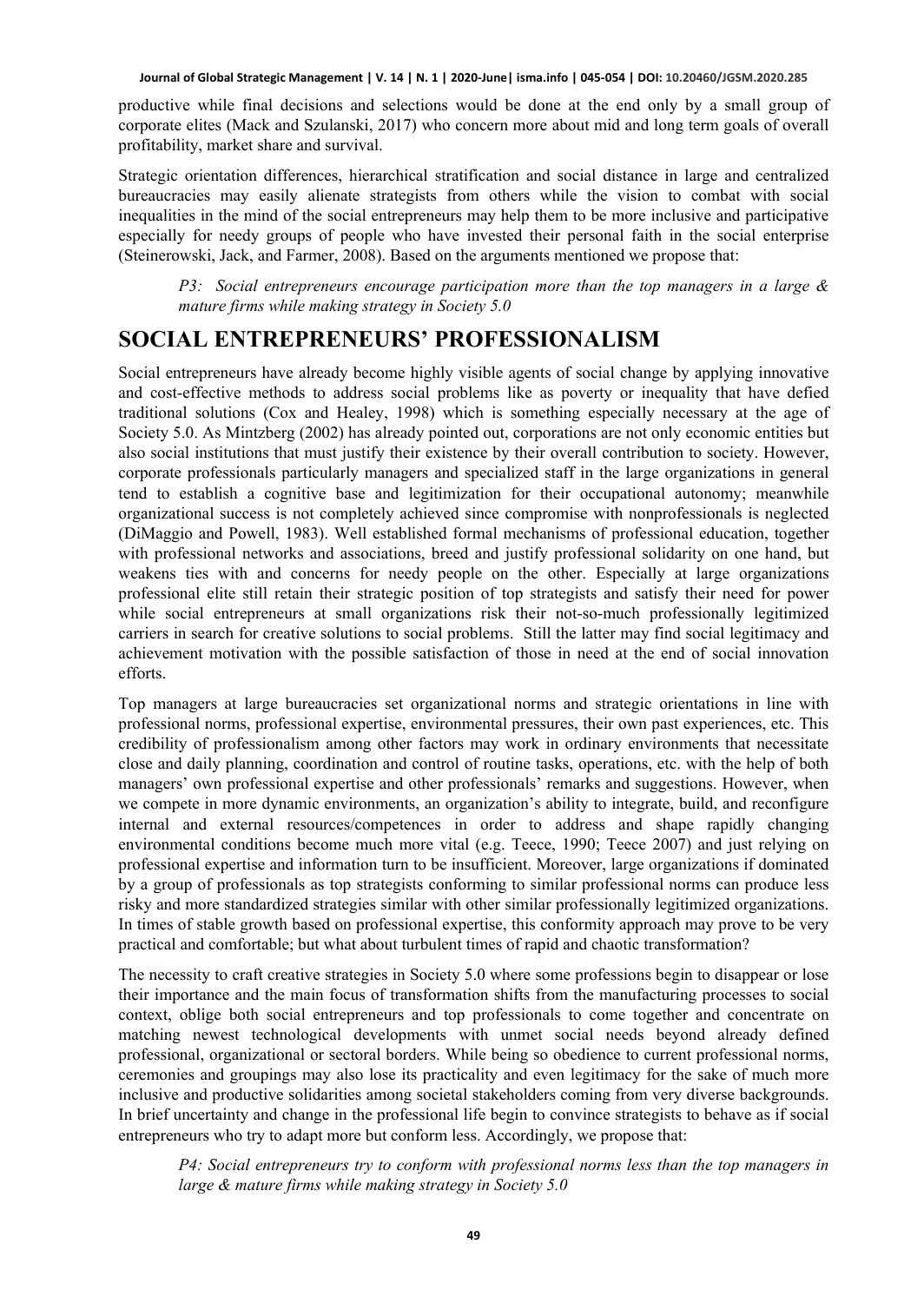productive while final decisions and selections would be done at the end only by a small group of corporate elites (Mack and Szulanski, 2017) who concern more about mid and long term goals of overall profitability, market share and survival.

Strategic orientation differences, hierarchical stratification and social distance in large and centralized bureaucracies may easily alienate strategists from others while the vision to combat with social inequalities in the mind of the social entrepreneurs may help them to be more inclusive and participative especially for needy groups of people who have invested their personal faith in the social enterprise (Steinerowski, Jack, and Farmer, 2008). Based on the arguments mentioned we propose that:

*P3: Social entrepreneurs encourage participation more than the top managers in a large & mature firms while making strategy in Society 5.0*

### **SOCIAL ENTREPRENEURS' PROFESSIONALISM**

Social entrepreneurs have already become highly visible agents of social change by applying innovative and cost-effective methods to address social problems like as poverty or inequality that have defied traditional solutions (Cox and Healey, 1998) which is something especially necessary at the age of Society 5.0. As Mintzberg (2002) has already pointed out, corporations are not only economic entities but also social institutions that must justify their existence by their overall contribution to society. However, corporate professionals particularly managers and specialized staff in the large organizations in general tend to establish a cognitive base and legitimization for their occupational autonomy; meanwhile organizational success is not completely achieved since compromise with nonprofessionals is neglected (DiMaggio and Powell, 1983). Well established formal mechanisms of professional education, together with professional networks and associations, breed and justify professional solidarity on one hand, but weakens ties with and concerns for needy people on the other. Especially at large organizations professional elite still retain their strategic position of top strategists and satisfy their need for power while social entrepreneurs at small organizations risk their not-so-much professionally legitimized carriers in search for creative solutions to social problems. Still the latter may find social legitimacy and achievement motivation with the possible satisfaction of those in need at the end of social innovation efforts.

Top managers at large bureaucracies set organizational norms and strategic orientations in line with professional norms, professional expertise, environmental pressures, their own past experiences, etc. This credibility of professionalism among other factors may work in ordinary environments that necessitate close and daily planning, coordination and control of routine tasks, operations, etc. with the help of both managers' own professional expertise and other professionals' remarks and suggestions. However, when we compete in more dynamic environments, an organization's ability to integrate, build, and reconfigure internal and external resources/competences in order to address and shape rapidly changing environmental conditions become much more vital (e.g. Teece, 1990; Teece 2007) and just relying on professional expertise and information turn to be insufficient. Moreover, large organizations if dominated by a group of professionals as top strategists conforming to similar professional norms can produce less risky and more standardized strategies similar with other similar professionally legitimized organizations. In times of stable growth based on professional expertise, this conformity approach may prove to be very practical and comfortable; but what about turbulent times of rapid and chaotic transformation?

The necessity to craft creative strategies in Society 5.0 where some professions begin to disappear or lose their importance and the main focus of transformation shifts from the manufacturing processes to social context, oblige both social entrepreneurs and top professionals to come together and concentrate on matching newest technological developments with unmet social needs beyond already defined professional, organizational or sectoral borders. While being so obedience to current professional norms, ceremonies and groupings may also lose its practicality and even legitimacy for the sake of much more inclusive and productive solidarities among societal stakeholders coming from very diverse backgrounds. In brief uncertainty and change in the professional life begin to convince strategists to behave as if social entrepreneurs who try to adapt more but conform less. Accordingly, we propose that:

*P4: Social entrepreneurs try to conform with professional norms less than the top managers in large & mature firms while making strategy in Society 5.0*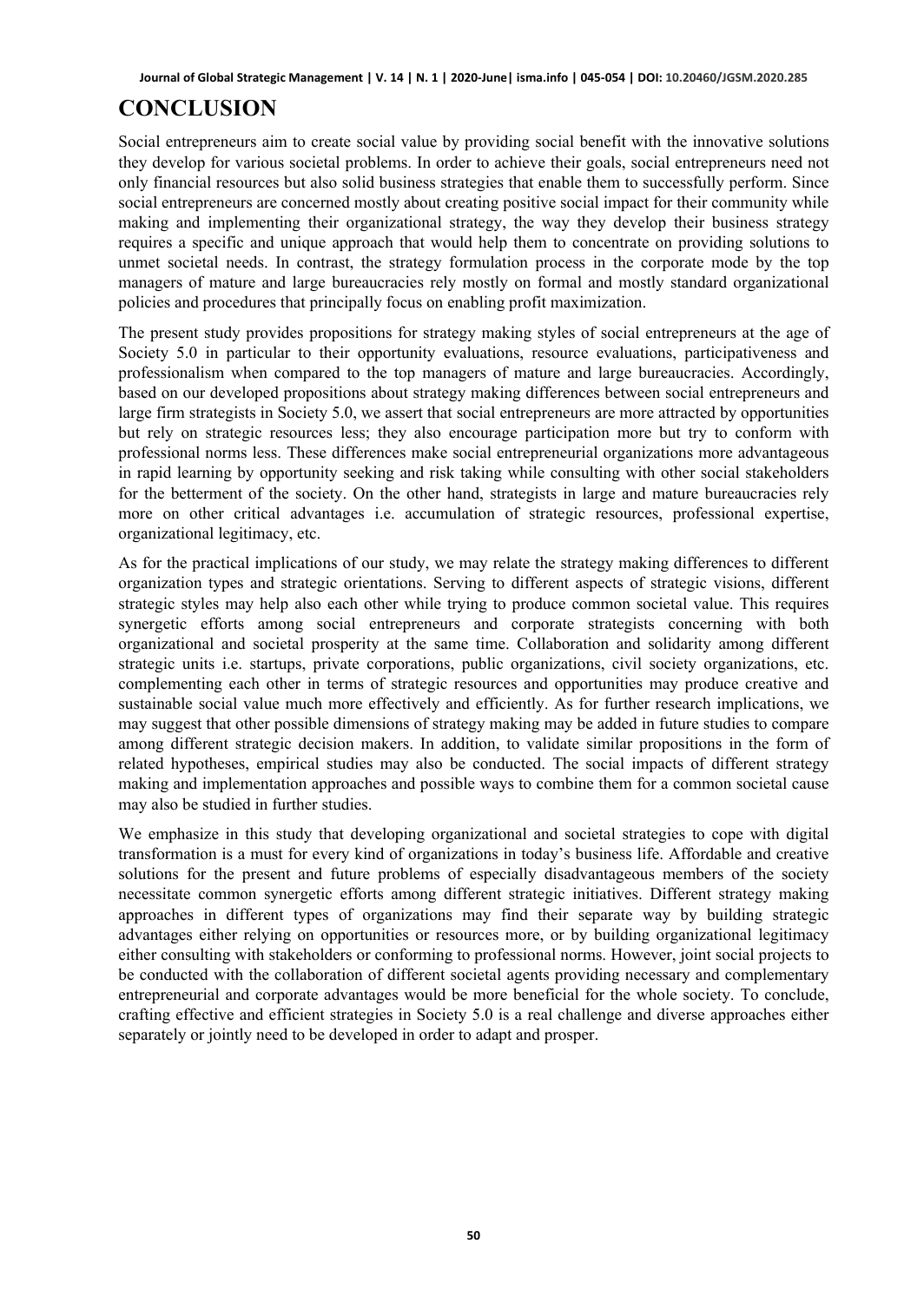# **CONCLUSION**

Social entrepreneurs aim to create social value by providing social benefit with the innovative solutions they develop for various societal problems. In order to achieve their goals, social entrepreneurs need not only financial resources but also solid business strategies that enable them to successfully perform. Since social entrepreneurs are concerned mostly about creating positive social impact for their community while making and implementing their organizational strategy, the way they develop their business strategy requires a specific and unique approach that would help them to concentrate on providing solutions to unmet societal needs. In contrast, the strategy formulation process in the corporate mode by the top managers of mature and large bureaucracies rely mostly on formal and mostly standard organizational policies and procedures that principally focus on enabling profit maximization.

The present study provides propositions for strategy making styles of social entrepreneurs at the age of Society 5.0 in particular to their opportunity evaluations, resource evaluations, participativeness and professionalism when compared to the top managers of mature and large bureaucracies. Accordingly, based on our developed propositions about strategy making differences between social entrepreneurs and large firm strategists in Society 5.0, we assert that social entrepreneurs are more attracted by opportunities but rely on strategic resources less; they also encourage participation more but try to conform with professional norms less. These differences make social entrepreneurial organizations more advantageous in rapid learning by opportunity seeking and risk taking while consulting with other social stakeholders for the betterment of the society. On the other hand, strategists in large and mature bureaucracies rely more on other critical advantages i.e. accumulation of strategic resources, professional expertise, organizational legitimacy, etc.

As for the practical implications of our study, we may relate the strategy making differences to different organization types and strategic orientations. Serving to different aspects of strategic visions, different strategic styles may help also each other while trying to produce common societal value. This requires synergetic efforts among social entrepreneurs and corporate strategists concerning with both organizational and societal prosperity at the same time. Collaboration and solidarity among different strategic units i.e. startups, private corporations, public organizations, civil society organizations, etc. complementing each other in terms of strategic resources and opportunities may produce creative and sustainable social value much more effectively and efficiently. As for further research implications, we may suggest that other possible dimensions of strategy making may be added in future studies to compare among different strategic decision makers. In addition, to validate similar propositions in the form of related hypotheses, empirical studies may also be conducted. The social impacts of different strategy making and implementation approaches and possible ways to combine them for a common societal cause may also be studied in further studies.

We emphasize in this study that developing organizational and societal strategies to cope with digital transformation is a must for every kind of organizations in today's business life. Affordable and creative solutions for the present and future problems of especially disadvantageous members of the society necessitate common synergetic efforts among different strategic initiatives. Different strategy making approaches in different types of organizations may find their separate way by building strategic advantages either relying on opportunities or resources more, or by building organizational legitimacy either consulting with stakeholders or conforming to professional norms. However, joint social projects to be conducted with the collaboration of different societal agents providing necessary and complementary entrepreneurial and corporate advantages would be more beneficial for the whole society. To conclude, crafting effective and efficient strategies in Society 5.0 is a real challenge and diverse approaches either separately or jointly need to be developed in order to adapt and prosper.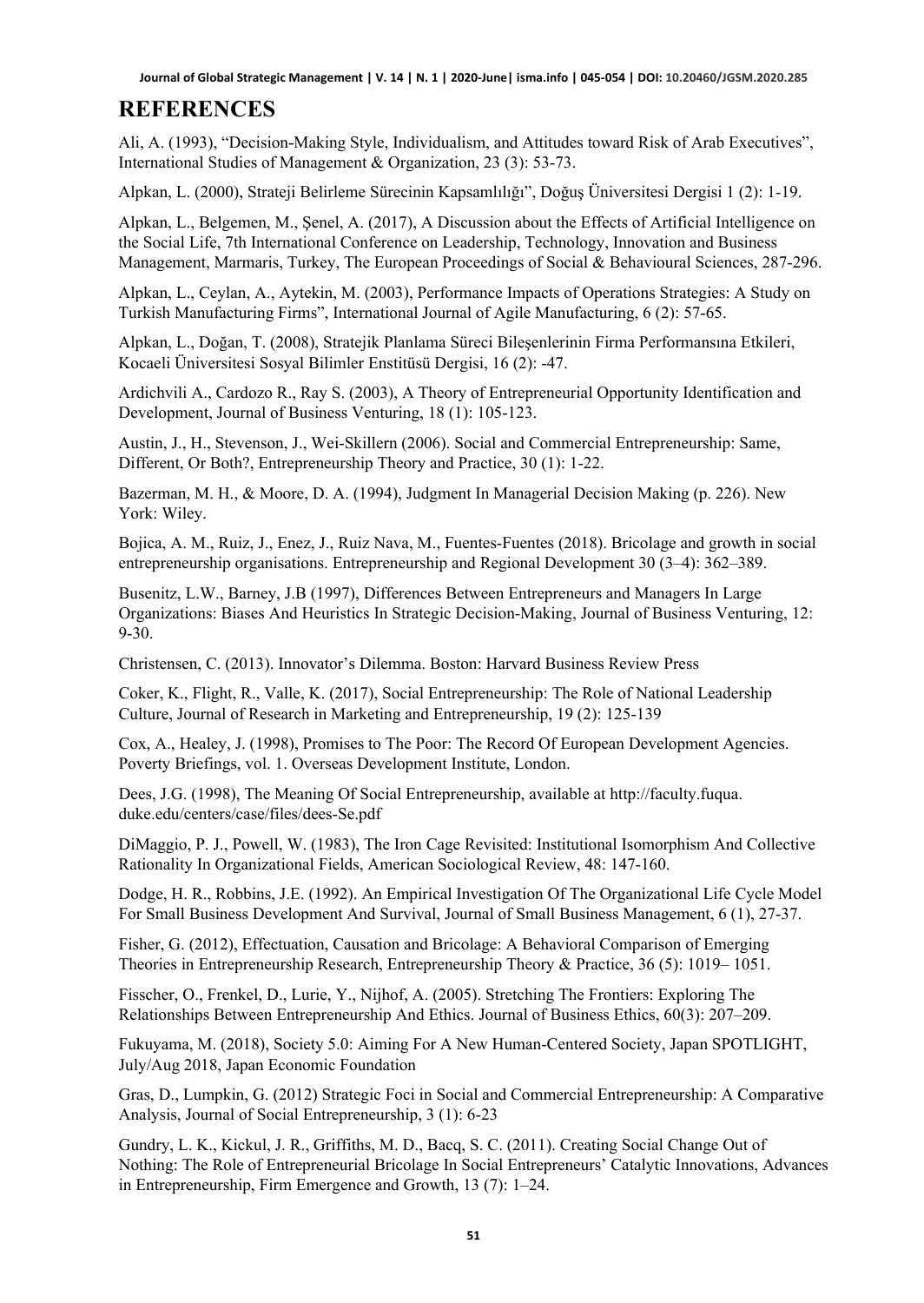### **REFERENCES**

Ali, A. (1993), "Decision-Making Style, Individualism, and Attitudes toward Risk of Arab Executives", International Studies of Management & Organization, 23 (3): 53-73.

Alpkan, L. (2000), Strateji Belirleme Sürecinin Kapsamlılığı", Doğuş Üniversitesi Dergisi 1 (2): 1-19.

Alpkan, L., Belgemen, M., Şenel, A. (2017), A Discussion about the Effects of Artificial Intelligence on the Social Life, 7th International Conference on Leadership, Technology, Innovation and Business Management, Marmaris, Turkey, The European Proceedings of Social & Behavioural Sciences, 287-296.

Alpkan, L., Ceylan, A., Aytekin, M. (2003), Performance Impacts of Operations Strategies: A Study on Turkish Manufacturing Firms", International Journal of Agile Manufacturing, 6 (2): 57-65.

Alpkan, L., Doğan, T. (2008), Stratejik Planlama Süreci Bileşenlerinin Firma Performansına Etkileri, Kocaeli Üniversitesi Sosyal Bilimler Enstitüsü Dergisi, 16 (2): -47.

Ardichvili A., Cardozo R., Ray S. (2003), A Theory of Entrepreneurial Opportunity Identification and Development, Journal of Business Venturing, 18 (1): 105-123.

Austin, J., H., Stevenson, J., Wei‐Skillern (2006). Social and Commercial Entrepreneurship: Same, Different, Or Both?, Entrepreneurship Theory and Practice, 30 (1): 1-22.

Bazerman, M. H., & Moore, D. A. (1994), Judgment In Managerial Decision Making (p. 226). New York: Wiley.

Bojica, A. M., Ruiz, J., Enez, J., Ruiz Nava, M., Fuentes-Fuentes (2018). Bricolage and growth in social entrepreneurship organisations. Entrepreneurship and Regional Development 30 (3–4): 362–389.

Busenitz, L.W., Barney, J.B (1997), Differences Between Entrepreneurs and Managers In Large Organizations: Biases And Heuristics In Strategic Decision-Making, Journal of Business Venturing, 12: 9-30.

Christensen, C. (2013). Innovator's Dilemma. Boston: Harvard Business Review Press

Coker, K., Flight, R., Valle, K. (2017), Social Entrepreneurship: The Role of National Leadership Culture, Journal of Research in Marketing and Entrepreneurship, 19 (2): 125-139

Cox, A., Healey, J. (1998), Promises to The Poor: The Record Of European Development Agencies. Poverty Briefings, vol. 1. Overseas Development Institute, London.

Dees, J.G. (1998), The Meaning Of Social Entrepreneurship, available at http://faculty.fuqua. duke.edu/centers/case/files/dees-Se.pdf

DiMaggio, P. J., Powell, W. (1983), The Iron Cage Revisited: Institutional Isomorphism And Collective Rationality In Organizational Fields, American Sociological Review, 48: 147-160.

Dodge, H. R., Robbins, J.E. (1992). An Empirical Investigation Of The Organizational Life Cycle Model For Small Business Development And Survival, Journal of Small Business Management, 6 (1), 27-37.

Fisher, G. (2012), Effectuation, Causation and Bricolage: A Behavioral Comparison of Emerging Theories in Entrepreneurship Research, Entrepreneurship Theory & Practice, 36 (5): 1019– 1051.

Fisscher, O., Frenkel, D., Lurie, Y., Nijhof, A. (2005). Stretching The Frontiers: Exploring The Relationships Between Entrepreneurship And Ethics. Journal of Business Ethics, 60(3): 207–209.

Fukuyama, M. (2018), Society 5.0: Aiming For A New Human-Centered Society, Japan SPOTLIGHT, July/Aug 2018, Japan Economic Foundation

Gras, D., Lumpkin, G. (2012) Strategic Foci in Social and Commercial Entrepreneurship: A Comparative Analysis, Journal of Social Entrepreneurship, 3 (1): 6-23

Gundry, L. K., Kickul, J. R., Griffiths, M. D., Bacq, S. C. (2011). Creating Social Change Out of Nothing: The Role of Entrepreneurial Bricolage In Social Entrepreneurs' Catalytic Innovations, Advances in Entrepreneurship, Firm Emergence and Growth, 13 (7): 1–24.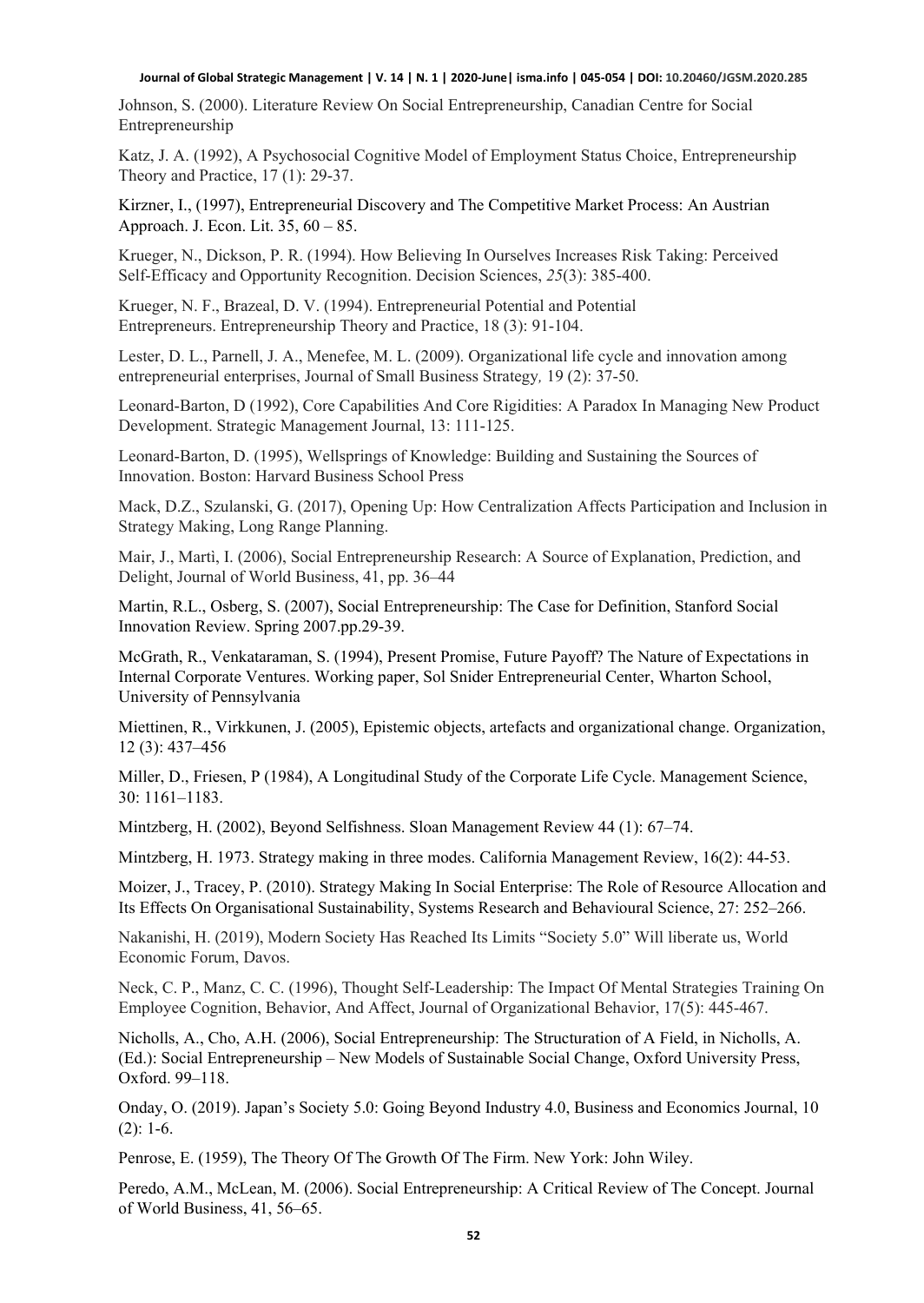Johnson, S. (2000). Literature Review On Social Entrepreneurship, Canadian Centre for Social Entrepreneurship

Katz, J. A. (1992), A Psychosocial Cognitive Model of Employment Status Choice, Entrepreneurship Theory and Practice, 17 (1): 29-37.

Kirzner, I., (1997), Entrepreneurial Discovery and The Competitive Market Process: An Austrian Approach. J. Econ. Lit. 35, 60 – 85.

Krueger, N., Dickson, P. R. (1994). How Believing In Ourselves Increases Risk Taking: Perceived Self‐Efficacy and Opportunity Recognition. Decision Sciences, *25*(3): 385-400.

Krueger, N. F., Brazeal, D. V. (1994). Entrepreneurial Potential and Potential Entrepreneurs. Entrepreneurship Theory and Practice, 18 (3): 91-104.

Lester, D. L., Parnell, J. A., Menefee, M. L. (2009). Organizational life cycle and innovation among entrepreneurial enterprises, Journal of Small Business Strategy*,* 19 (2): 37-50.

Leonard-Barton, D (1992), Core Capabilities And Core Rigidities: A Paradox In Managing New Product Development. Strategic Management Journal, 13: 111-125.

Leonard-Barton, D. (1995), Wellsprings of Knowledge: Building and Sustaining the Sources of Innovation. Boston: Harvard Business School Press

Mack, D.Z., Szulanski, G. (2017), Opening Up: How Centralization Affects Participation and Inclusion in Strategy Making, Long Range Planning.

Mair, J., Martì, I. (2006), Social Entrepreneurship Research: A Source of Explanation, Prediction, and Delight, Journal of World Business, 41, pp. 36–44

Martin, R.L., Osberg, S. (2007), Social Entrepreneurship: The Case for Definition, Stanford Social Innovation Review. Spring 2007.pp.29-39.

McGrath, R., Venkataraman, S. (1994), Present Promise, Future Payoff? The Nature of Expectations in Internal Corporate Ventures. Working paper, Sol Snider Entrepreneurial Center, Wharton School, University of Pennsylvania

Miettinen, R., Virkkunen, J. (2005), Epistemic objects, artefacts and organizational change. Organization, 12 (3): 437–456

Miller, D., Friesen, P (1984), A Longitudinal Study of the Corporate Life Cycle. Management Science, 30: 1161–1183.

Mintzberg, H. (2002), Beyond Selfishness. Sloan Management Review 44 (1): 67–74.

Mintzberg, H. 1973. Strategy making in three modes. California Management Review, 16(2): 44-53.

Moizer, J., Tracey, P. (2010). Strategy Making In Social Enterprise: The Role of Resource Allocation and Its Effects On Organisational Sustainability, Systems Research and Behavioural Science, 27: 252–266.

Nakanishi, H. (2019), Modern Society Has Reached Its Limits "Society 5.0" Will liberate us, World Economic Forum, Davos.

Neck, C. P., Manz, C. C. (1996), Thought Self‐Leadership: The Impact Of Mental Strategies Training On Employee Cognition, Behavior, And Affect, Journal of Organizational Behavior, 17(5): 445-467.

Nicholls, A., Cho, A.H. (2006), Social Entrepreneurship: The Structuration of A Field, in Nicholls, A. (Ed.): Social Entrepreneurship – New Models of Sustainable Social Change, Oxford University Press, Oxford. 99–118.

Onday, O. (2019). Japan's Society 5.0: Going Beyond Industry 4.0, Business and Economics Journal, 10  $(2): 1-6.$ 

Penrose, E. (1959), The Theory Of The Growth Of The Firm. New York: John Wiley.

Peredo, A.M., McLean, M. (2006). Social Entrepreneurship: A Critical Review of The Concept. Journal of World Business, 41, 56–65.